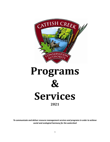



*To communicate and deliver resource management services and programs in order to achieve social and ecological harmony for the watershed*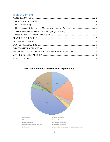# Table of Contents

| WATERSHED PLANNING & WATER MANAGEMENT PROGRAMS  11 |  |
|----------------------------------------------------|--|
|                                                    |  |
|                                                    |  |
|                                                    |  |
|                                                    |  |
|                                                    |  |
|                                                    |  |
|                                                    |  |
|                                                    |  |
|                                                    |  |
|                                                    |  |
|                                                    |  |
|                                                    |  |

## **Work Plan Categories and Projected Expenditures**

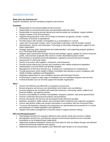# <span id="page-2-0"></span>ADMINISTRATION

## **What does the Authority do?**

Supports mandatory and non-mandatory programs and services.

### **Examples**

- Responsible for the annual budget and levy process
- Responsible for annual business plan and associated staff work plans
- Responsible for ensuring annual internal and external audits are completed, support auditors
- Support creation of the Annual Report
- Supports the governance of the CCCA Board of Directors via agenda, minutes, monthly summaries of revenue & expenditures
- Provides liaison with member municipalities (e.g. presentations to council)
- Liaise with Conservation Ontario, other Conservation Authorities, and the broader network
- Administrative, clerical, and Information Technology & Information Management support for the entire organization
- Strategic planning, policy development and implementation, and supporting program guidance (e.g. Purchasing Policy guidance)
- Supports grant submissions through financial and strategic support, applies for human resources grants, and assesses proposals that result in a further diversified business model
- Commenting on proposed provincial (legislation, regulation) and local (by-laws) changes
- Assessment of community needs
- Service of accounts with suppliers, contractors, and businesses
- Provide Human Resources Function and compliance with related employment legislation
- Administration of Group RRSP and Benefits program
- Management of Fleet and Vehicles (e.g. Tracking Use, expenditures for maintenance)
- Provide governance (Joint Health & Safety Committee) and training to ensure compliance with Health & Safety Legislation and Regulations
- Negotiates agreements for non-mandatory services with Municipal Partners
- Fundraising to support a wide range of mandated and non-mandated programs and services
- Technical Studies such as GIS that support the broader organization

### **Why?**

- Ensure cost effective and efficiently run programs and services
- Ensure programs and services are streamlined, time limited, and cost-effective
- Ensures programs are consistent with watershed resources, community values, political and financial realities, and approve policies
- Ensures accountability to member municipalities, taxpayers, partners, and senior governments
- Ensures conformity with provincial policies and procedures
- Ensures that goods and services are purchased locally whenever possible
- Maintains competent, highly trained, and motivated staff to implement the Authority's programs
- Ensure staff perform duties and conduct themselves in accordance with the Personnel Policy
- To ensure the Authority's interests and uniqueness are represented and accounted for in current and proposed CA related legislation and regulations
- Support information management in business areas to support decision making

### **Who benefits/participates?**

- Municipalities benefit from programs tailored to their specific needs and economic realities
- Municipalities benefit from cost-effective shared environmental expertise across municipal boundaries on an ecological basis (watershed)
- Watershed residents (taxpayers) receive the most value for their tax dollars through cost-effective shared environmental expertise and capacity
- Watershed businesses and suppliers (over \$500,000 spent locally on an annual basis)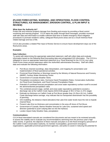## <span id="page-3-0"></span>HAZARD MANAGEMENT

## **(FLOOD FORECASTING, WARNING, AND OPERATIONS, FLOOD CONTROL STRUCTURES, ICE MANAGEMENT, EROSION CONTROL, & PLAN INPUT & REVIEW)**

## **What does the Authority do?**

Protect life and minimize property damage from flooding and erosion by providing a flood control monitoring and warning program. CCCA alerts the public through flood messages, provides municipal staff with data and information to enable sufficient lead time to enable emergency flood mitigation procedures to promote resident's safety, safeguard flood prone areas and as a result minimize flood related damage and loss of life.

CCCA also provides a related Plan Input & Review Service to ensure future development stays out of the flood prone areas.

### **Examples**

### **Data Collection:**

To assist with determining the appropriate watershed statement, staff will collect data and evaluate information based on the following flood forecasting data and extrapolated GIS information. The CCCA is obligated to issue an appropriate watershed statement (e.g. Flood Warning) for the CCCA Low Lying Flood Prone Areas around waterways within the Authorities administrative boundary. Staff will collect data and evaluate the following information:

- Port Bruce channel soundings, data interpretation, and mapping for presentation and implementation of flood operational activities
- Provincial Flood Watches or Warnings issued by the Ministry of Natural Resources and Forestry (MNRF), Surface Water Monitoring Centre
- Government of Canada Weather Alerts
- Precipitation exceedance rates, Hurricane Hazel Precipitation Rates, Conservation Authorities Act Flood Event Standards, and Flood Forecast Precipitation Rates
- Potential of combined forecast precipitation and snow water equivalency surface runoff to exceed the aforementioned precipitation rates
- The combined present stage, rainfall, and snow water equivalency potential to exceed a discharge rate at the Catfish Creek Sparta (02GC018) gauge of 39.2  $m^3$ /sec (1.47m stage)
- Estimate ice thickness on Catfish Creek at Port Bruce greater than 15.25cm (6.0 in), Catfish Creek discharge below average, may indicate that ice transported downstream has the possibility of jamming
- GIS modelling, the distance inland (elevation) that Lake Erie water levels have the risk to impede channel flows
- Present Lake Erie ice thickness and concentration in the area off shore of Port Bruce
- Government of Canada, Marine Weather forecast for Lake Erie, sustained wind speed and direction (potential to push outlying lake ice into the harbour)
- London Airport Daily Weather Data, precipitation

### **Communications:**

CCCA flood interrelated manuals are considered live documents and are meant to be reviewed annually to assess the viability and to evaluate any recommendations stemming from the previous year's high water events. In general, the objective of these manuals and plans is to link flood emergency personnel of the Catfish Creek Conservation Authority, its member municipalities, government emergency organizations, applicable provincial government agencies, and police to assist in reducing the potential for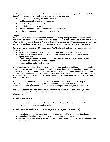flood associated damage. They have been compiled to provide a systematic procedure for the Catfish Creek Conservation Authority staff to consult during flood emergencies.

- Flood Watch and Warning Procedures Manual
- Ice Management Plan and dredging manual
- Flood Warning and Operations Plan
- Flood bulletins, media releases
- Liaison with municipalities, local residents, and contractors
- Assistance with municipal emergency response plans

## **Response:**

The CCCA fundamental response to flood forecasting, warning, and operations is to communicate watershed statements to the residents of the watershed. These statements include, but are not limited to Watershed Outlooks, Watches, and Warnings through the conveyance of these statements to provide our partner municipalities with sufficient flood notification lead time to act according to the notifications.

During high water events the CCCA implements The Flood Watch and Warning Procedures to maintain the following:

- Ongoing technical advice to Municipal Flood Coordinators during flood events
- Continuous watershed monitoring of precipitation and stream flows during storm events and spring thaw/runoff season
- Flood damage assessment reporting to the province and local municipalities (e.g. Flood Damage/Cost Reports, Flood Status Reports)
- Flood event termination and follow-up

The CCCA issues communication statements based on flood monitoring and forecasting of provincial and federal weather forecasts and advisories for application at the local level for storm intensity and duration, precipitation intensity and duration, temperature increase duration, pre-storm stream water level, storm duration rate of water level increases, seasonal watershed characteristics (such as frozen soils, riverine and Port Bruce harbour ice thickness and type, snow depth, and water equivalency), Lake Erie water levels, and ice cover.

To be consistent with the wording used by weather agency communications, the Ministry of Natural Resources and Forestry in partnership with Conservation Ontario, Environment Canada, and other applicable agencies updated and changed the flood messaging terminology in February of 2012.

The CCCA uses the aforementioned data and information to maintain and calibrate a Hydrometric Numeric Interpolator (forecasting model) to interpolate numeric inputs and output a graphical interpretation.

## <span id="page-4-0"></span>**Flood Forecasting:**

- Interpretation of provincial weather forecasts and advisories for application at local level
- Development of flood forecasting model

## <span id="page-4-1"></span>**Flood Damage Reduction / Ice Management Program (Port Bruce)**

- Coordinate ice breaking operations in consultation with the Municipal Flood Coordinator
- Coordinate dredging activities for removal and disposal of sediments
- On-site supervision, tender contracts, soil testing, associated clean-up, access agreements, tree removal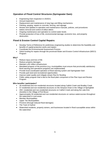## <span id="page-5-0"></span>**Operation of Flood Control Structures (Springwater Dam):**

- Engineering Dam Inspection in 2020/21.
- Annual inspections
- Replacement and maintenance of stop logs and lifting mechanisms
- Painting, parging, repairs to concrete, fencing, and signage
- Review and updates to operation and maintenance manuals, policies, and procedures
- Debris removal and control of inflow debris
- Ongoing maintenance and operation to control water levels
- Provide protection of loss of life, environmental damage, economic loss, and property destruction.

## <span id="page-5-1"></span>**Flood & Erosion Control Capital Repairs:**

- Develop Terms of Reference for preliminary engineering studies to determine the feasibility and benefits of capital protective works and repairs
- Coordinate the Environmental Assessment Process
- Solicit funding for repairs through the provincial Water and Erosion Control Infrastructure (WECI) Program

## **Why?**

- Reduce injury and loss of life
- Reduce property damages
- Maintain a \$2 million infrastructure
- Mandated program of the province (e.g. municipalities must ensure that provincially satisfactory flood warning and operations programs are implemented)
- Provide local coordinated operation of flood warning system and Springwater Dam
- Provide park land and recreational opportunities
- Improve water quality and mitigate stream flow for flooding
- Public safety program that is tied to the flood plain component of the Plan Input and Review Program

## **Who benefits / participates?**

- 28 residential and non-residential structures located along Catfish Creek and Bradley Creek
- 57 residential and non-residential structures on the Simpson Drain in the Village of Springfield
- 250+ residential and non-residential structures on Catfish Creek and along the Lake Erie shoreline in the Village of Port Bruce
- Approximately 30 residential and non-residential structures on various watercourses throughout the watershed in rural areas
- Member Municipalities
- Upper Tier Municipalities
- Province (through reduced flood damages)
- The Town of Aylmer
- Watershed residents, property owners, and businesses located in flood susceptible areas within the watershed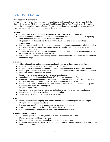# <span id="page-6-0"></span>PLAN INPUT & REVIEW

## **What does the Authority do?**

Provide Information and policy support to municipalities on matters relating to Natural Hazards Policies (Section 3.1 under the PPS) with a focus on Official Plan and Official Plan Amendments. This includes: broad policy interpretation, transfer of data, information and science to municipalities, and provision of advice on matters relating to natural hazards policy to MMAH.

## **Examples**

- Provides land use planning input and review advice to watershed municipalities
- Provides technical advice and information to landowners, developers, and the public regarding flood and erosion hazards and environmental concerns
- Regulation of development, interference with wetlands, and alterations to shorelines and watercourses
- Develops new natural hazard information to support the delegated commenting role inputting into municipal planning to ensure consistency with the Provincial Policy Statement (PPS) s.3.1 (natural hazards) policies
- Support the delegated commenting role inputting into municipal planning to ensure consistency with the PPS s.2.3 (natural heritage) policies
- Provide proponents with waterproofing standards and related advice that facilitates development in the flood fringe

## **Examples**

- Official plan policies and schedules, comprehensive zoning by-laws, plans of subdivisions
- Property inquiries (legal, real estate, and general information)
- Provide comments on municipal planning / development documents or applications annually
- Process permit applications under the Section 28 regulations of the Conservation Authorities Act
- Resource mapping and flood elevations
- Liaison between municipalities and other government agencies
- Coordination and implementation of the CCCA Shoreline Management Plan
- Cooperation with neighbouring Conservation Authorities to ensure 'seamless planning service' for municipalities and counties with more than one CA within their boundaries
- Provide advice and assistance to watershed municipalities with regard to environmentally related responsibilities under the Planning Act
- Natural heritage protection
- Identification and protection of watershed wetlands and environmentally significant areas
- Municipal drain review (e.g. erosion control and location)
- Screening applications under the Federal Fisheries Act

### **Why?**

- Reduce risk to life and property from natural hazards such as flooding and unstable slopes
- Compliment flood control operations
- Promote wise use of land and water resources for future generations
- Interpret and implement provincial policies at the local level
- Key component of a comprehensive flood plain management program

## **Who benefits/participates?**

- The general public, landowners, developers, and watershed municipalities
- Municipal planners and building officials
- Lawyers and real estate agents, students, and academic institutions
- Provincial and federal ministries, Local Planning and Appeal Tribunal (formerly OMB), Mining and Lands Commissioner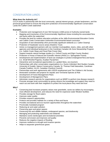# <span id="page-7-0"></span>CONSERVATION LANDS

## **What does the Authority do?**

CCCA works in partnership with the local community, special interest groups, private landowners, and the provincial government to ensure the long-term protection of Environmentally Significant Conservation Lands the Catfish Creek watershed

### **Examples**

- Protection and management of over 553 hectares (1368 acres) of Authority-owned lands
- Mapping and inventories of the Environmentally Significant Areas including the associated flora and fauna within the watershed
- Provides the land for outdoor education activities at the Jaffa Environmental Education Centre and Catfish Creek Conservation Authorities Environmental based curriculum
- Acquisition of and stewardship of/on provincially significant wetlands (i.e. Calton Swamp)
- Protection of headwater source areas (Hawkins Tract)
- Active co-management partners with our member municipalities, towns, cities, and with other agencies and individual landowners in the Carolinian Canada Life Zone Stewardship Program (i.e. Catfish Creek Slope and Flood Plain Forest Site)
- Support towards natural heritage studies (i.e. Oxford County and Elgin County Studies)
- Protection of Areas of Natural and Scientific Interest (ANSI) (i.e. Springwater Forest)
- Development and implementation of land-use strategies to protect endangered flora and fauna (i.e. Small Whorled Pogonia, Acadian Flycatcher)
- Interpretive and recreational opportunities (i.e. guided hikes, eco-tourism)
- Partnerships with other conservation organizations (i.e. Ducks Unlimited, Bird Studies Canada, University of Guelph, Nature Conservancy Canada, St. Thomas Field Naturalists, Carolinian Canada Coalition, ALUS, Canadian Chestnut Council)
- Partnerships and work agreements with LEEDS employment and The Children's Aid Society
- Restoration activities and projects for Aquatic and Terrestrial Species at Risk
- Development of Forest Management Plans
- Development of Management Plans
- Administer research permits for organizations such as MNRF to perform tree disease research
- Promote stronger local communities by giving citizens the knowledge and support they need to reach out and work with their neighbors to protect the local places they need and love

### **Why?**

- Conserving land increases property values near greenbelts, saves tax dollars by encouraging more efficient development, and reduces the need for expensive water filtration facilities
- Provides storage for flood waters
- Improves water quality
- Provides research opportunities
- Protects and provides habitats for a variety of flora and fauna
- Provides recreational and eco-tourism opportunities throughout the watershed
- Provincially mandated program
- Reducing air and water pollution
- Preserving open and green spaces
- Preserving fish and wildlife habitats, endangered species, and biodiversity
- Managing and protecting watersheds and wetlands
- Maintains scenic landscapes and recreational amenities
- Prevents soil erosion and improves soil quality
- Reduces the negative impacts of flooding
- Improves resilience to drought and invasive species
- Helps to sequester greenhouse gases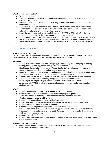## **Who benefits / participates?**

- Watershed residents
- Youth who gain valuable life skills through our community outreach programs through LEEDS, Children's Aid Society
- Recreationalists such as Field Naturalists, Hiking Groups, Eco Tourists, and campers from all over North America
- Thousands of Students, instructors from Thames Valley School Board, other Conservation Authorities through programs such as the Carolinian Forest Festival and researchers within different educational and environmental institutions
- Provincial government and ministries of all sorts from OMAFRA, OFIA, MPAC all the way to MNRF, and the Ministry of the Environment, Conservation and Parks
- ALUS Program, Ducks Unlimited, Stewardship Council, Chestnut Council, Bird Studies Canada, University of Guelph, Department of Fisheries and Oceans, Elgin County Trappers Association, Local member municipalities, towns and cities, and most of all the residents of our watershed

## <span id="page-8-0"></span>CONSERVATION AREAS

## **What does the Authority do?**

CCCA provides a wide variety of recreational opportunities on 120 hectares (300 acres) of Authority owned/managed lands using sound business and environmental principles

## **Examples**

- Springwater Conservation Area offers camping (265 campsites), group camping, swimming, boating, fishing, picnicking, hiking, and special event facilities
- Rural based Conservation Areas like the Archie Coulter C.A. provide passive recreational opportunities such as hiking, bird watching, and research
- Conservation Areas located in an urban setting provide municipalities with valuable green space for active recreation (e.g. Ward McKenna and Ivan Steen properties)
- Maintain and operate the Springwater Dam for flow augmentation and recreation purposes
- Volunteer opportunities (e.g. scouting groups, cooperative education students)
- Capital improvement projects (e.g. roads, campsite development, trails, stage)
- Agreement with TVDSB to allow environmental education opportunities for approximately 8000 students per year

### **Why?**

- Provides a high quality recreational experience in a natural setting
- Generates excess revenues to offset other mandated program expenses
- Allows safe access to Authority owned/managed lands for permitted activities
- Creates necessary fish and wildlife habitat
- Protects the integrity of environmentally significant lands
- Permits land susceptible to hazards (e.g. flood) to be utilized for recreational purposes
- Provides valuable green space in urban settings
- Creates seasonal employment opportunities for local youth and students
- Provides annually over 1000 hours of volunteer opportunities for high school co-op students, those seeking rehabilitation, or clients of LEEDS employment opportunities for those seeking work experience opportunities
- Maintains \$2 million infrastructure
- Provides land for the housing of municipal services (e.g. hydro and sewer easements, stormwater management facilities)

## **Who benefits / participates?**

• Over 100,000 people who visit and use the facilities at the Conservation Areas on an annual basis, mostly from local communities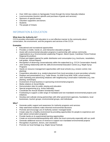- Over 1500 new visitors to Springwater Forest through the Active Naturally initiative
- Local economies (tourism spinoffs and purchase of goods and services)
- Sponsors of special events
- Volunteer supporters and donors
- Students
- The people of Ontario

## <span id="page-9-0"></span>INFORMATION & EDUCATION

## **What does the Authority do?**

CCCA provides information and education in a cost effective manner to the community about conservation, the environment, and the programs and services of the CCCA

## **Examples**

- Educational and recreational opportunities
- Provides a mobile, hands on, and interactive education program
- Assist with environmental education programs in partnership with various community organizations (e.g. Environmental Leadership Program, Marsh Quest, Carolinian Forest Festival, Regional Envirothon)
- Printed and digital material for public distribution and consumption (e.g. brochures, newsletters, trail guides, Annual Report)
- Recognition of deserving conservationists within the watershed (e.g. CCCA Conservation Award)
- Joint working relationship with the Jaffa Environmental Education Centre (e.g. Maple Syrup Program)
- Hands-on resource management opportunities with local schools (e.g. erosion control, tree planting)
- Cooperative education (e.g. student placement from local secondary & post-secondary schools)
- Displays and presentations (e.g. Trade Shows, Go Wild Grow Wild, AGM, school events)
- Joint marketing and advertising initiatives with neighbouring Conservation Authorities (e.g. tree planting, workshops)
- Involvement of local business in sponsoring environmental programs
- Media relations & Social Media
- Demonstration sites for public viewing and education
- Special programming (e.g. Active Naturally)
- Coordinate the Annual Student Scholarship Award
- Fundraising to support a wide range of mandated and non-mandated environmental projects and initiatives
- Develop and cultivate strong partnerships with other government agencies, foundations, local businesses, tourism groups, environmental groups, and individuals

### **Why?**

- Generate public support and awareness for Authority programs and services
- Help watershed residents make informed environmental decisions
- Promote and encourage use of Authority owned / managed lands
- Create value for a healthy environment by providing opportunities for people to experience and learn about conservation programs
- Provide hands-on & experimental learning opportunities
- Create an environmental/stewardship ethic within the local community especially with our youth
- Generate additional sources of revenue to support non-mandated environmental projects
- Recognition of partners, donors, and volunteers
- Promote our local heritage (e.g. Maple Syrup Festival)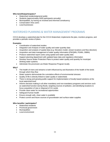## **Who benefits/participates?**

- Watershed residents/general public
- Students (approximately 5000 participants annually)
- Municipalities, by having an involved and informed constituency
- Conservation Area users
- Local businesses

## <span id="page-10-0"></span>WATERSHED PLANNING & WATER MANAGEMENT PROGRAMS

CCCA develops a watershed plan for the CCCA Watershed, implements the plan, monitors progress, and provides a periodic review of plans.

### **Examples**

- Coordination of watershed studies
- Integration and Analysis of water quality and water quantity data
- Acquisition and analysis of spatial data (e.g. Elevation model, stream locations and flow direction)
- Acquisition and data management of water quality information (PWQMN, PGMN, OBBN)
- Produce watershed report cards using spatial and water quality data
- Support planning department with updated base data and regulatory information
- Develop Source Water Protection Plans to protect water quality and quantity for municipal drinking water systems
- Administer the provincial Low Water Response Program locally

### **Why?**

- The health of rivers and streams is both influenced by and illustrative of the health of the lands through which they flow
- Water systems demonstrate the cumulative effects of environmental stresses
- Quality of life is directly linked to water quality in watersheds
- There is strong and growing public support for implementation of locally based solutions at the local watershed level
- Informs decision making in all other mandatory and non-mandatory programs and services such as watershed function during floods, targeting sources of pollution, and identifying locations to focus acquisition of new or disposal of CA Lands
- Provide clean water for recreational opportunities
- Safeguard human health
- Ensure enough safe, clean water is available
- Protect current and future sources of groundwater and surface water supplies

### **Who benefits / participates?**

- Watershed residents
- Provincial government
- Municipalities
- Local environment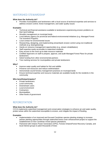# <span id="page-11-0"></span>WATERSHED STEWARDSHIP

## **What does the Authority do?**

• Provides municipalities and landowners with a local source of technical expertise and services to address erosion control, forest management, and water quality issues

### **Examples**

- Technical and financial assistance available to landowners experiencing erosion problems on their land holdings
- Woodlot management on municipal lands
- Local delivery agency for provincial and federal environmental initiatives (e.g. Managed Forest Tax Incentive Program)
- Local contact for environmental issues
- Researching, designing, and implementing streambank erosion control using non-traditional methods (e.g. bioengineering)
- Hands-on resource management opportunities (e.g. stream rehabilitation)
- Staff expertise easily accessible to watershed residents
- Easy access to the most up-to-date resource materials
- Certified Approvers on staff to prepare, approve, and audit Managed Forest Plans for private landowners
- Solicit funding from other environmental partners
- Tree marking services for municipalities and private landowners

#### **Why?**

- Improve water quality and habitat for fish and wildlife
- Preserve soil resources and reduce sedimentation
- Demonstrate sound forestry management practices on municipal lands
- Ensure technical expertise and resource materials are available locally for the residents in the community

#### **Who benefits/participates?**

- Private landowners
- Local community
- Downstream users
- Local environment
- Contractors
- Municipalities
- Other levels of government

## <span id="page-11-1"></span>REFORESTATION

### **What does the Authority do?**

CCCA implements watershed management and conservation strategies to enhance air and water quality, protect areas within the watershed susceptible to erosion, and mitigate the impact of flooding.

#### **Examples**

- Implementation of an improved and focused Carolinian species planting strategy to increase partner planting opportunities through watershed forest cover enhancement project to support the establishment of new Carolinian mixed species plantations
- Partnered with Ontario Power Generation (OPG), Forests Ontario/Forest Recovery Canada, and local interest groups to plant thousands of trees